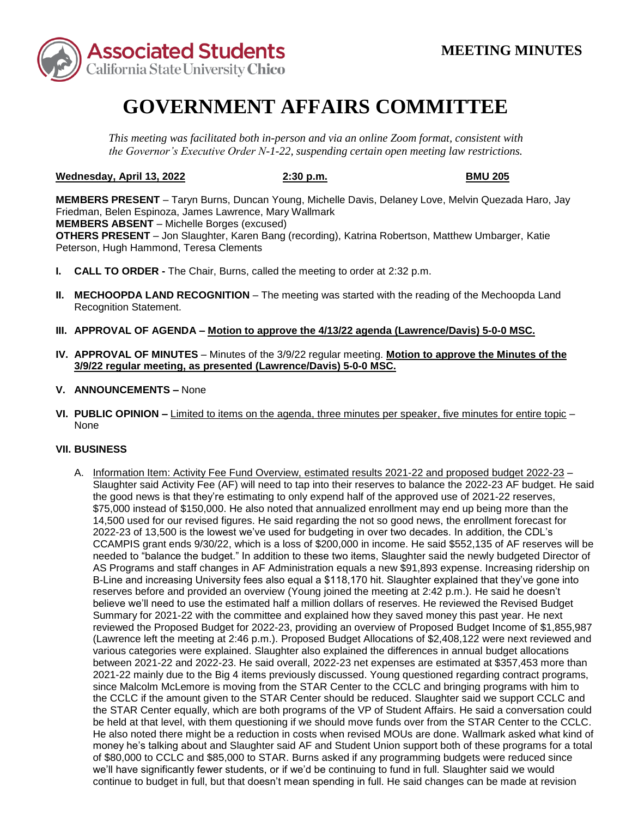

## **GOVERNMENT AFFAIRS COMMITTEE**

*This meeting was facilitated both in-person and via an online Zoom format, consistent with the Governor's Executive Order N-1-22, suspending certain open meeting law restrictions.* 

## **Wednesday, April 13, 2022 2:30 p.m. BMU 205**

 Friedman, Belen Espinoza, James Lawrence, Mary Wallmark  **MEMBERS ABSENT** – Michelle Borges (excused) **MEMBERS PRESENT** – Taryn Burns, Duncan Young, Michelle Davis, Delaney Love, Melvin Quezada Haro, Jay **OTHERS PRESENT** – Jon Slaughter, Karen Bang (recording), Katrina Robertson, Matthew Umbarger, Katie Peterson, Hugh Hammond, Teresa Clements

- **I. CALL TO ORDER -** The Chair, Burns, called the meeting to order at 2:32 p.m.
- **II. MECHOOPDA LAND RECOGNITION** The meeting was started with the reading of the Mechoopda Land Recognition Statement.
- **III. APPROVAL OF AGENDA – Motion to approve the 4/13/22 agenda (Lawrence/Davis) 5-0-0 MSC.**
- **IV. APPROVAL OF MINUTES**  Minutes of the 3/9/22 regular meeting. **Motion to approve the Minutes of the 3/9/22 regular meeting, as presented (Lawrence/Davis) 5-0-0 MSC.**
- **V. ANNOUNCEMENTS –** None
- **VI. PUBLIC OPINION –** Limited to items on the agenda, three minutes per speaker, five minutes for entire topic None

## **VII. BUSINESS**

 the good news is that they're estimating to only expend half of the approved use of 2021-22 reserves, believe we'll need to use the estimated half a million dollars of reserves. He reviewed the Revised Budget He also noted there might be a reduction in costs when revised MOUs are done. Wallmark asked what kind of A. Information Item: Activity Fee Fund Overview, estimated results 2021-22 and proposed budget 2022-23 – Slaughter said Activity Fee (AF) will need to tap into their reserves to balance the 2022-23 AF budget. He said \$75,000 instead of \$150,000. He also noted that annualized enrollment may end up being more than the 14,500 used for our revised figures. He said regarding the not so good news, the enrollment forecast for 2022-23 of 13,500 is the lowest we've used for budgeting in over two decades. In addition, the CDL's CCAMPIS grant ends 9/30/22, which is a loss of \$200,000 in income. He said \$552,135 of AF reserves will be needed to "balance the budget." In addition to these two items, Slaughter said the newly budgeted Director of AS Programs and staff changes in AF Administration equals a new \$91,893 expense. Increasing ridership on B-Line and increasing University fees also equal a \$118,170 hit. Slaughter explained that they've gone into reserves before and provided an overview (Young joined the meeting at 2:42 p.m.). He said he doesn't Summary for 2021-22 with the committee and explained how they saved money this past year. He next reviewed the Proposed Budget for 2022-23, providing an overview of Proposed Budget Income of \$1,855,987 (Lawrence left the meeting at 2:46 p.m.). Proposed Budget Allocations of \$2,408,122 were next reviewed and various categories were explained. Slaughter also explained the differences in annual budget allocations between 2021-22 and 2022-23. He said overall, 2022-23 net expenses are estimated at \$357,453 more than 2021-22 mainly due to the Big 4 items previously discussed. Young questioned regarding contract programs, since Malcolm McLemore is moving from the STAR Center to the CCLC and bringing programs with him to the CCLC if the amount given to the STAR Center should be reduced. Slaughter said we support CCLC and the STAR Center equally, which are both programs of the VP of Student Affairs. He said a conversation could be held at that level, with them questioning if we should move funds over from the STAR Center to the CCLC. money he's talking about and Slaughter said AF and Student Union support both of these programs for a total of \$80,000 to CCLC and \$85,000 to STAR. Burns asked if any programming budgets were reduced since we'll have significantly fewer students, or if we'd be continuing to fund in full. Slaughter said we would continue to budget in full, but that doesn't mean spending in full. He said changes can be made at revision